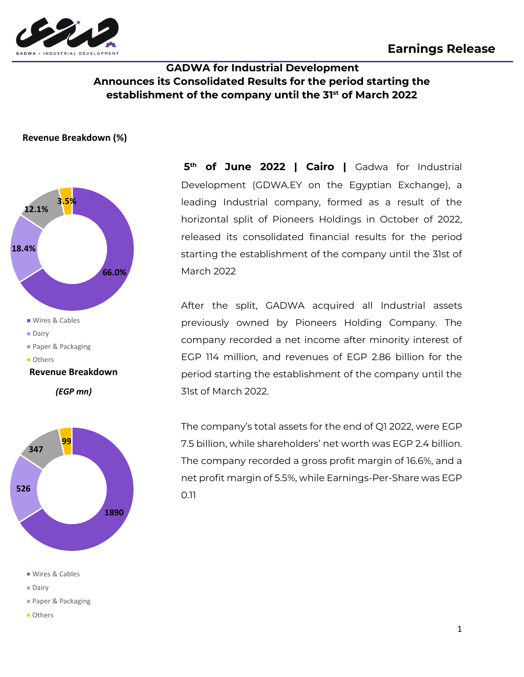

# **GADWA for Industrial Development Announces its Consolidated Results for the period starting the establishment of the company until the 31st of March 2022**

#### **Revenue Breakdown (%)**





- Wires & Cables
- **Dairy**
- Paper & Packaging
- **Others**

**5 th of June 2022 | Cairo |** Gadwa for Industrial Development (GDWA.EY on the Egyptian Exchange), a leading Industrial company, formed as a result of the horizontal split of Pioneers Holdings in October of 2022, released its consolidated financial results for the period starting the establishment of the company until the 31st of March 2022

After the split, GADWA acquired all Industrial assets previously owned by Pioneers Holding Company. The company recorded a net income after minority interest of EGP 114 million, and revenues of EGP 2.86 billion for the period starting the establishment of the company until the 31st of March 2022.

The company's total assets for the end of Q1 2022, were EGP 7.5 billion, while shareholders' net worth was EGP 2.4 billion. The company recorded a gross profit margin of 16.6%, and a net profit margin of 5.5%, while Earnings-Per-Share was EGP 0.11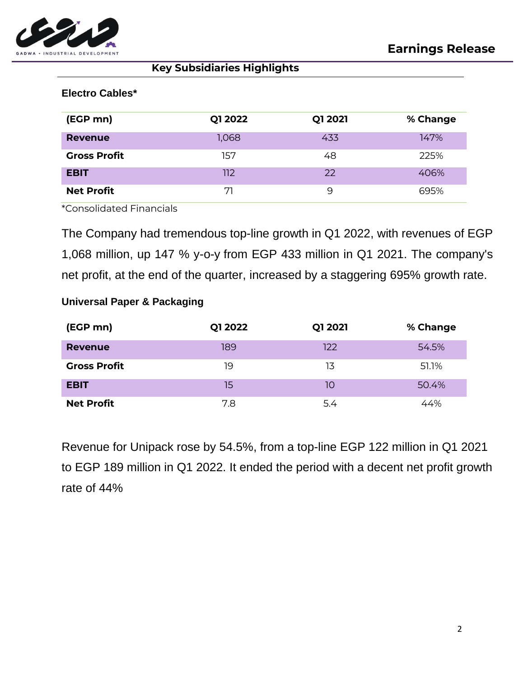

**Key Subsidiaries Highlights**

# **Electro Cables\***

| (EGP mn)            | Q1 2022 | Q1 2021 | % Change |
|---------------------|---------|---------|----------|
| Revenue             | 1,068   | 433     | 147%     |
| <b>Gross Profit</b> | 157     | 48      | 225%     |
| <b>EBIT</b>         | 112     | 22      | 406%     |
| <b>Net Profit</b>   | 71      | 9       | 695%     |

\*Consolidated Financials

The Company had tremendous top-line growth in Q1 2022, with revenues of EGP 1,068 million, up 147 % y-o-y from EGP 433 million in Q1 2021. The company's net profit, at the end of the quarter, increased by a staggering 695% growth rate.

# **Universal Paper & Packaging**

| (EGP mn)            | Q1 2022 | Q1 2021 | % Change |
|---------------------|---------|---------|----------|
| <b>Revenue</b>      | 189     | 122     | 54.5%    |
| <b>Gross Profit</b> | 19      | 13      | 51.1%    |
| <b>EBIT</b>         | 15      | 10      | 50.4%    |
| <b>Net Profit</b>   | 7.8     | 5.4     | 44%      |

Revenue for Unipack rose by 54.5%, from a top-line EGP 122 million in Q1 2021 to EGP 189 million in Q1 2022. It ended the period with a decent net profit growth rate of 44%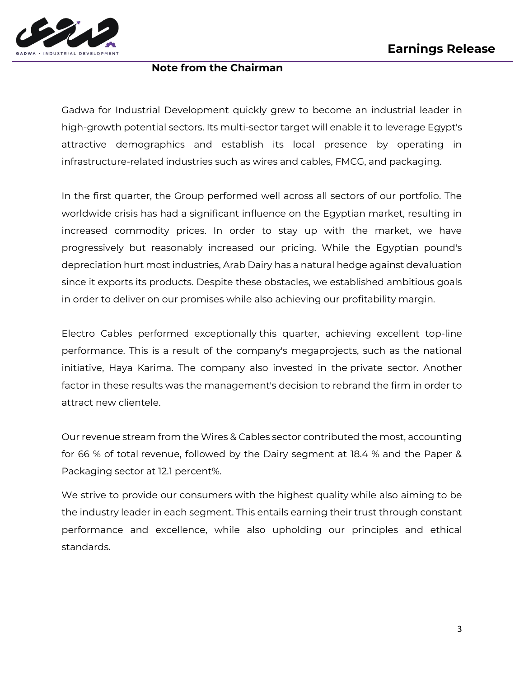

#### **Note from the Chairman**

Gadwa for Industrial Development quickly grew to become an industrial leader in high-growth potential sectors. Its multi-sector target will enable it to leverage Egypt's attractive demographics and establish its local presence by operating in infrastructure-related industries such as wires and cables, FMCG, and packaging.

In the first quarter, the Group performed well across all sectors of our portfolio. The worldwide crisis has had a significant influence on the Egyptian market, resulting in increased commodity prices. In order to stay up with the market, we have progressively but reasonably increased our pricing. While the Egyptian pound's depreciation hurt most industries, Arab Dairy has a natural hedge against devaluation since it exports its products. Despite these obstacles, we established ambitious goals in order to deliver on our promises while also achieving our profitability margin.

Electro Cables performed exceptionally this quarter, achieving excellent top-line performance. This is a result of the company's megaprojects, such as the national initiative, Haya Karima. The company also invested in the private sector. Another factor in these results was the management's decision to rebrand the firm in order to attract new clientele.

Our revenue stream from the Wires & Cables sector contributed the most, accounting for 66 % of total revenue, followed by the Dairy segment at 18.4 % and the Paper & Packaging sector at 12.1 percent%.

We strive to provide our consumers with the highest quality while also aiming to be the industry leader in each segment. This entails earning their trust through constant performance and excellence, while also upholding our principles and ethical standards.